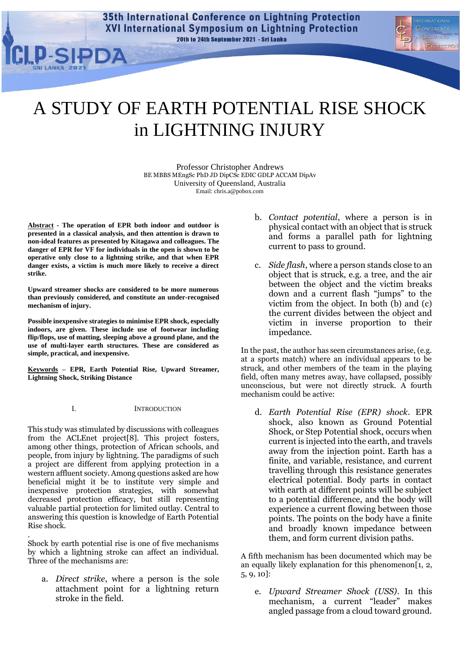**35th International Conference on Lightning Protection XVI International Symposium on Lightning Protection** 20th to 24th September 2021 - Sri Lanka



# A STUDY OF EARTH POTENTIAL RISE SHOCK in LIGHTNING INJURY

Professor Christopher Andrews BE MBBS MEngSc PhD JD DipCSc EDIC GDLP ACCAM DipAv University of Queensland, Australia Email: chris.a@pobox.com

**Abstract - The operation of EPR both indoor and outdoor is presented in a classical analysis, and then attention is drawn to non-ideal features as presented by Kitagawa and colleagues. The danger of EPR for VF for individuals in the open is shown to be operative only close to a lightning strike, and that when EPR danger exists, a victim is much more likely to receive a direct strike.**

**Upward streamer shocks are considered to be more numerous than previously considered, and constitute an under-recognised mechanism of injury.**

**Possible inexpensive strategies to minimise EPR shock, especially indoors, are given. These include use of footwear including flip/flops, use of matting, sleeping above a ground plane, and the use of multi-layer earth structures. These are considered as simple, practical, and inexpensive.**

**Keywords – EPR, Earth Potential Rise, Upward Streamer, Lightning Shock, Striking Distance**

I. INTRODUCTION

This study was stimulated by discussions with colleagues from the ACLEnet project[\[8\]](#page-7-0). This project fosters, among other things, protection of African schools, and people, from injury by lightning. The paradigms of such a project are different from applying protection in a western affluent society. Among questions asked are how beneficial might it be to institute very simple and inexpensive protection strategies, with somewhat decreased protection efficacy, but still representing valuable partial protection for limited outlay. Central to answering this question is knowledge of Earth Potential Rise shock.

Shock by earth potential rise is one of five mechanisms by which a lightning stroke can affect an individual. Three of the mechanisms are:

.

a. *Direct strike*, where a person is the sole attachment point for a lightning return stroke in the field.

- b. *Contact potential*, where a person is in physical contact with an object that is struck and forms a parallel path for lightning current to pass to ground.
- c. *Side flash*, where a person stands close to an object that is struck, e.g. a tree, and the air between the object and the victim breaks down and a current flash "jumps" to the victim from the object. In both (b) and (c) the current divides between the object and victim in inverse proportion to their impedance.

In the past, the author has seen circumstances arise, (e.g. at a sports match) where an individual appears to be struck, and other members of the team in the playing field, often many metres away, have collapsed, possibly unconscious, but were not directly struck. A fourth mechanism could be active:

d. *Earth Potential Rise (EPR) shock*. EPR shock, also known as Ground Potential Shock, or Step Potential shock, occurs when current is injected into the earth, and travels away from the injection point. Earth has a finite, and variable, resistance, and current travelling through this resistance generates electrical potential. Body parts in contact with earth at different points will be subject to a potential difference, and the body will experience a current flowing between those points. The points on the body have a finite and broadly known impedance between them, and form current division paths.

A fifth mechanism has been documented which may be an equally likely explanation for this phenomenon [\[1,](#page-7-1) [2,](#page-7-2) [5,](#page-7-3) [9,](#page-7-4) [10\]](#page-7-5):

e. *Upward Streamer Shock (USS)*. In this mechanism, a current "leader" makes angled passage from a cloud toward ground.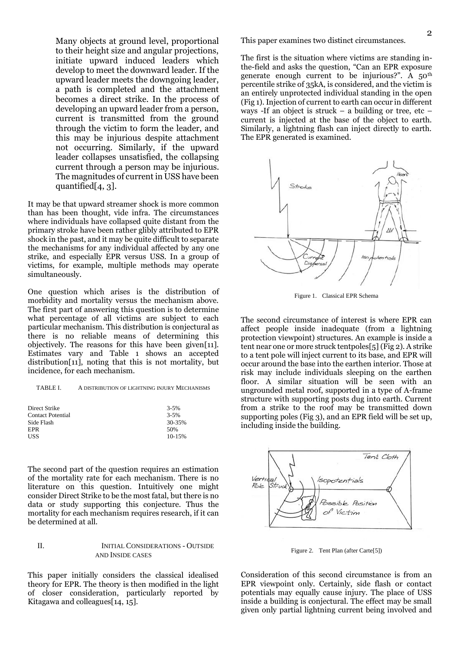Many objects at ground level, proportional to their height size and angular projections, initiate upward induced leaders which develop to meet the downward leader. If the upward leader meets the downgoing leader, a path is completed and the attachment becomes a direct strike. In the process of developing an upward leader from a person, current is transmitted from the ground through the victim to form the leader, and this may be injurious despite attachment not occurring. Similarly, if the upward leader collapses unsatisfied, the collapsing current through a person may be injurious. The magnitudes of current in USS have been quantified[\[4,](#page-7-6) [3\]](#page-7-7).

It may be that upward streamer shock is more common than has been thought, vide infra. The circumstances where individuals have collapsed quite distant from the primary stroke have been rather glibly attributed to EPR shock in the past, and it may be quite difficult to separate the mechanisms for any individual affected by any one strike, and especially EPR versus USS. In a group of victims, for example, multiple methods may operate simultaneously.

One question which arises is the distribution of morbidity and mortality versus the mechanism above. The first part of answering this question is to determine what percentage of all victims are subject to each particular mechanism. This distribution is conjectural as there is no reliable means of determining this objectively. The reasons for this have been given[\[11\]](#page-7-8). Estimates vary and Table 1 shows an accepted distribution[\[11\]](#page-7-8), noting that this is not mortality, but incidence, for each mechanism.

| A DISTRIBUTION OF LIGHTNING INJURY MECHANISMS<br>TABLE I. |
|-----------------------------------------------------------|
|-----------------------------------------------------------|

| Direct Strike            | $3 - 5%$   |
|--------------------------|------------|
| <b>Contact Potential</b> | $3 - 5%$   |
| Side Flash               | 30-35%     |
| EPR                      | 50%        |
| <b>USS</b>               | $10 - 15%$ |
|                          |            |

The second part of the question requires an estimation of the mortality rate for each mechanism. There is no literature on this question. Intuitively one might consider Direct Strike to be the most fatal, but there is no data or study supporting this conjecture. Thus the mortality for each mechanism requires research, if it can be determined at all.

## II. INITIAL CONSIDERATIONS - OUTSIDE AND INSIDE CASES

This paper initially considers the classical idealised theory for EPR. The theory is then modified in the light of closer consideration, particularly reported by Kitagawa and colleagues[\[14,](#page-7-9) [15\]](#page-7-10).

This paper examines two distinct circumstances.

The first is the situation where victims are standing inthe-field and asks the question, "Can an EPR exposure generate enough current to be injurious?". A  $50<sup>th</sup>$ percentile strike of 35kA, is considered, and the victim is an entirely unprotected individual standing in the open (Fig 1). Injection of current to earth can occur in different ways -If an object is struck – a building or tree, etc – current is injected at the base of the object to earth. Similarly, a lightning flash can inject directly to earth. The EPR generated is examined.



Figure 1. Classical EPR Schema

The second circumstance of interest is where EPR can affect people inside inadequate (from a lightning protection viewpoint) structures. An example is inside a tent near one or more struck tentpoles[\[5\]](#page-7-3) (Fig 2). A strike to a tent pole will inject current to its base, and EPR will occur around the base into the earthen interior. Those at risk may include individuals sleeping on the earthen floor. A similar situation will be seen with an ungrounded metal roof, supported in a type of A-frame structure with supporting posts dug into earth. Current from a strike to the roof may be transmitted down supporting poles (Fig 3), and an EPR field will be set up, including inside the building.



Figure 2. Tent Plan (after Carte[\[5\]](#page-7-3))

Consideration of this second circumstance is from an EPR viewpoint only. Certainly, side flash or contact potentials may equally cause injury. The place of USS inside a building is conjectural. The effect may be small given only partial lightning current being involved and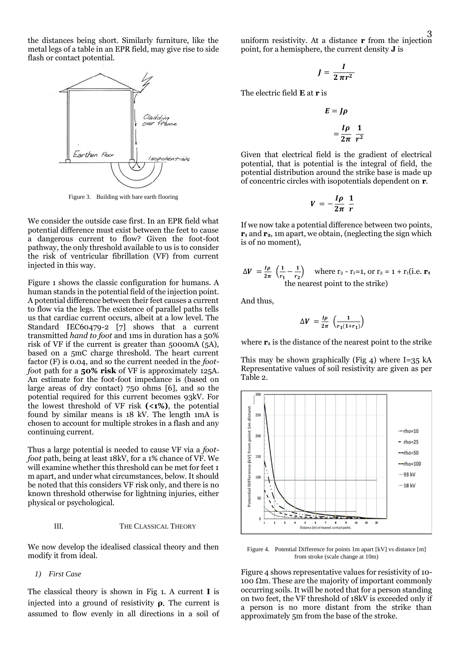the distances being short. Similarly furniture, like the metal legs of a table in an EPR field, may give rise to side flash or contact potential.



Figure 3. Building with bare earth flooring

We consider the outside case first. In an EPR field what potential difference must exist between the feet to cause a dangerous current to flow? Given the foot-foot pathway, the only threshold available to us is to consider the risk of ventricular fibrillation (VF) from current injected in this way.

Figure 1 shows the classic configuration for humans. A human stands in the potential field of the injection point. A potential difference between their feet causes a current to flow via the legs. The existence of parallel paths tells us that cardiac current occurs, albeit at a low level. The Standard IEC60479-2 [\[7\]](#page-7-11) shows that a current transmitted *hand to foot* and 1ms in duration has a 50% risk of VF if the current is greater than 5000mA (5A), based on a 5mC charge threshold. The heart current factor (F) is 0.04, and so the current needed in the *footfoo*t path for a **50% risk** of VF is approximately 125A. An estimate for the foot-foot impedance is (based on large areas of dry contact) 750 ohms [\[6\]](#page-7-12), and so the potential required for this current becomes 93kV. For the lowest threshold of VF risk **(<1%)**, the potential found by similar means is 18 kV. The length 1mA is chosen to account for multiple strokes in a flash and any continuing current.

Thus a large potential is needed to cause VF via a *footfoot* path, being at least 18kV, for a 1% chance of VF. We will examine whether this threshold can be met for feet 1 m apart, and under what circumstances, below. It should be noted that this considers VF risk only, and there is no known threshold otherwise for lightning injuries, either physical or psychological.

#### III. THE CLASSICAL THEORY

We now develop the idealised classical theory and then modify it from ideal.

*1) First Case*

The classical theory is shown in Fig 1. A current **I** is injected into a ground of resistivity **ρ**. The current is assumed to flow evenly in all directions in a soil of uniform resistivity. At a distance **r** from the injection point, for a hemisphere, the current density **J** is

$$
J=\frac{I}{2\pi r^2}
$$

The electric field **E** at **r** is

$$
E = J\rho
$$

$$
= \frac{I\rho}{2\pi} \frac{1}{r^2}
$$

Given that electrical field is the gradient of electrical potential, that is potential is the integral of field, the potential distribution around the strike base is made up of concentric circles with isopotentials dependent on **r**.

$$
V = -\frac{I\rho}{2\pi} \frac{1}{r}
$$

If we now take a potential difference between two points, **r<sup>1</sup>** and **r2**, 1m apart, we obtain, (neglecting the sign which is of no moment),

$$
\Delta V = \frac{I\rho}{2\pi} \left( \frac{1}{r_1} - \frac{1}{r_2} \right)
$$
 where  $r_2 - r_1 = 1$ , or  $r_2 = 1 + r_1(i.e. r_1)$   
the nearest point to the strike)

And thus,

$$
\Delta V = \frac{I\rho}{2\pi} \left( \frac{1}{r_1(1+r_1)} \right)
$$

where **r<sup>1</sup>** is the distance of the nearest point to the strike

This may be shown graphically (Fig 4) where  $I=35$  kA Representative values of soil resistivity are given as per Table 2.



Figure 4. Potential Difference for points 1m apart [kV] vs distance [m] from stroke (scale change at 10m)

Figure 4 shows representative values for resistivity of 10- 100  $\Omega$ m. These are the majority of important commonly occurring soils. It will be noted that for a person standing on two feet, the VF threshold of 18kV is exceeded only if a person is no more distant from the strike than approximately 5m from the base of the stroke.

3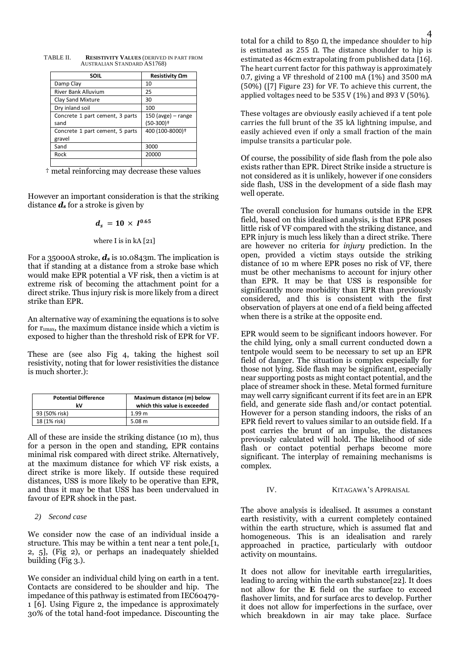| <b>SOIL</b>                     | Resistivity $\Omega$ m  |
|---------------------------------|-------------------------|
| Damp Clay                       | 10                      |
| <b>River Bank Alluvium</b>      | 25                      |
| Clay Sand Mixture               | 30                      |
| Dry inland soil                 | 100                     |
| Concrete 1 part cement, 3 parts | $150$ (avge) - range    |
| sand                            | $(50-300)$ <sup>+</sup> |
| Concrete 1 part cement, 5 parts | 400 (100-8000)+         |
| gravel                          |                         |
| Sand                            | 3000                    |
| Rock                            | 20000                   |
|                                 |                         |

TABLE II. **RESISTIVITY VALUES** (DERIVED IN PART FROM AUSTRALIAN STANDARD AS1768)

† metal reinforcing may decrease these values

However an important consideration is that the striking distance *d<sup>s</sup>* for a stroke is given by

$$
d_s = 10 \times I^{0.65}
$$

where I is in kA [\[21\]](#page-7-13)

For a 35000A stroke, *d<sup>s</sup>* is 10.0843m. The implication is that if standing at a distance from a stroke base which would make EPR potential a VF risk, then a victim is at extreme risk of becoming the attachment point for a direct strike. Thus injury risk is more likely from a direct strike than EPR.

An alternative way of examining the equations is to solve for  $r_{\text{1max}}$ , the maximum distance inside which a victim is exposed to higher than the threshold risk of EPR for VF.

These are (see also Fig 4, taking the highest soil resistivity, noting that for lower resistivities the distance is much shorter.):

| <b>Potential Difference</b><br>k٧ | Maximum distance (m) below<br>which this value is exceeded |
|-----------------------------------|------------------------------------------------------------|
| 93 (50% risk)                     | 1.99 <sub>m</sub>                                          |
| 18 (1% risk)                      | 5.08 m                                                     |

All of these are inside the striking distance (10 m), thus for a person in the open and standing, EPR contains minimal risk compared with direct strike. Alternatively, at the maximum distance for which VF risk exists, a direct strike is more likely. If outside these required distances, USS is more likely to be operative than EPR, and thus it may be that USS has been undervalued in favour of EPR shock in the past.

## *2) Second case*

We consider now the case of an individual inside a structure. This may be within a tent near a tent pole,[\[1,](#page-7-1) [2,](#page-7-2) [5\]](#page-7-3), (Fig 2), or perhaps an inadequately shielded building (Fig 3.).

We consider an individual child lying on earth in a tent. Contacts are considered to be shoulder and hip. The impedance of this pathway is estimated from IEC60479- 1 [\[6\]](#page-7-12). Using Figure 2, the impedance is approximately 30% of the total hand-foot impedance. Discounting the

total for a child to 850  $Ω$ , the impedance shoulder to hip is estimated as 255 Ω. The distance shoulder to hip is estimated as 46cm extrapolating from published data [\[16\]](#page-7-14). The heart current factor for this pathway is approximately 0.7, giving a VF threshold of 2100 mA (1%) and 3500 mA (50%) ([\[7\]](#page-7-11) Figure 23) for VF. To achieve this current, the applied voltages need to be 535 V (1%) and 893 V (50%).

These voltages are obviously easily achieved if a tent pole carries the full brunt of the 35 kA lightning impulse, and easily achieved even if only a small fraction of the main impulse transits a particular pole.

Of course, the possibility of side flash from the pole also exists rather than EPR. Direct Strike inside a structure is not considered as it is unlikely, however if one considers side flash, USS in the development of a side flash may well operate.

The overall conclusion for humans outside in the EPR field, based on this idealised analysis, is that EPR poses little risk of VF compared with the striking distance, and EPR injury is much less likely than a direct strike. There are however no criteria for *injury* prediction. In the open, provided a victim stays outside the striking distance of 10 m where EPR poses no risk of VF, there must be other mechanisms to account for injury other than EPR. It may be that USS is responsible for significantly more morbidity than EPR than previously considered, and this is consistent with the first observation of players at one end of a field being affected when there is a strike at the opposite end.

EPR would seem to be significant indoors however. For the child lying, only a small current conducted down a tentpole would seem to be necessary to set up an EPR field of danger. The situation is complex especially for those not lying. Side flash may be significant, especially near supporting posts as might contact potential, and the place of streamer shock in these. Metal formed furniture may well carry significant current if its feet are in an EPR field, and generate side flash and/or contact potential. However for a person standing indoors, the risks of an EPR field revert to values similar to an outside field. If a post carries the brunt of an impulse, the distances previously calculated will hold. The likelihood of side flash or contact potential perhaps become more significant. The interplay of remaining mechanisms is complex.

## IV. KITAGAWA'S APPRAISAL

The above analysis is idealised. It assumes a constant earth resistivity, with a current completely contained within the earth structure, which is assumed flat and homogeneous. This is an idealisation and rarely approached in practice, particularly with outdoor activity on mountains.

It does not allow for inevitable earth irregularities, leading to arcing within the earth substance[\[22\]](#page-7-15). It does not allow for the **E** field on the surface to exceed flashover limits, and for surface arcs to develop. Further it does not allow for imperfections in the surface, over which breakdown in air may take place. Surface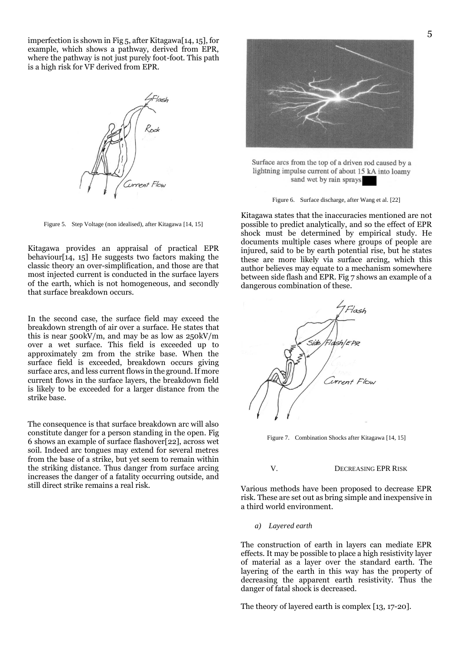imperfection is shown in Fig 5, after Kitagawa[\[14,](#page-7-9) [15\]](#page-7-10), for example, which shows a pathway, derived from EPR, where the pathway is not just purely foot-foot. This path is a high risk for VF derived from EPR.

Orrent Flow

Figure 5. Step Voltage (non idealised), after Kitagawa [\[14,](#page-7-9) [15\]](#page-7-10)

Kitagawa provides an appraisal of practical EPR behaviour[\[14,](#page-7-9) [15\]](#page-7-10) He suggests two factors making the classic theory an over-simplification, and those are that most injected current is conducted in the surface layers of the earth, which is not homogeneous, and secondly that surface breakdown occurs.

In the second case, the surface field may exceed the breakdown strength of air over a surface. He states that this is near  $500 \text{kV/m}$ , and may be as low as  $250 \text{kV/m}$ over a wet surface. This field is exceeded up to approximately 2m from the strike base. When the surface field is exceeded, breakdown occurs giving surface arcs, and less current flows in the ground. If more current flows in the surface layers, the breakdown field is likely to be exceeded for a larger distance from the strike base.

The consequence is that surface breakdown arc will also constitute danger for a person standing in the open. Fig 6 shows an example of surface flashover[\[22\]](#page-7-15), across wet soil. Indeed arc tongues may extend for several metres from the base of a strike, but yet seem to remain within the striking distance. Thus danger from surface arcing increases the danger of a fatality occurring outside, and still direct strike remains a real risk.



Surface arcs from the top of a driven rod caused by a lightning impulse current of about 15 kA into loamy sand wet by rain sprays

Figure 6. Surface discharge, after Wang et al. [\[22\]](#page-7-15)

Kitagawa states that the inaccuracies mentioned are not possible to predict analytically, and so the effect of EPR shock must be determined by empirical study. He documents multiple cases where groups of people are injured, said to be by earth potential rise, but he states these are more likely via surface arcing, which this author believes may equate to a mechanism somewhere between side flash and EPR. Fig 7 shows an example of a dangerous combination of these.



Figure 7. Combination Shocks after Kitagawa [\[14,](#page-7-9) [15\]](#page-7-10)

#### V. DECREASING EPR RISK

Various methods have been proposed to decrease EPR risk. These are set out as bring simple and inexpensive in a third world environment.

*a) Layered earth*

The construction of earth in layers can mediate EPR effects. It may be possible to place a high resistivity layer of material as a layer over the standard earth. The layering of the earth in this way has the property of decreasing the apparent earth resistivity. Thus the danger of fatal shock is decreased.

The theory of layered earth is complex [\[13,](#page-7-16) [17-20\]](#page-7-17).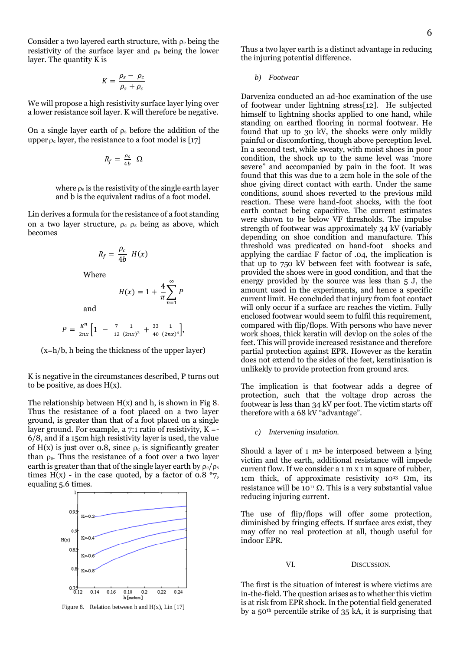Consider a two layered earth structure, with  $\rho_c$  being the resistivity of the surface layer and  $\rho_s$  being the lower layer. The quantity K is

$$
K = \frac{\rho_s - \rho_c}{\rho_s + \rho_c}
$$

We will propose a high resistivity surface layer lying over a lower resistance soil layer. K will therefore be negative.

On a single layer earth of  $\rho_s$  before the addition of the upper  $\rho_c$  layer, the resistance to a foot model is [\[17\]](#page-7-17)

$$
R_f=\tfrac{\rho_S}{4b}\ \Omega
$$

where  $\rho_s$  is the resistivity of the single earth layer and b is the equivalent radius of a foot model.

Lin derives a formula for the resistance of a foot standing on a two layer structure,  $\rho_c$   $\rho_s$  being as above, which becomes

$$
R_f = \frac{\rho_c}{4b} H(x)
$$

Where

$$
H(x) = 1 + \frac{4}{\pi} \sum_{n=1}^{\infty} P
$$

and

$$
P = \frac{\kappa^n}{2nx} \Big[ 1 - \frac{7}{12} \frac{1}{(2nx)^2} + \frac{33}{40} \frac{1}{(2nx)^4} \Big],
$$

(x=h/b, h being the thickness of the upper layer)

K is negative in the circumstances described, P turns out to be positive, as does  $H(x)$ .

The relationship between  $H(x)$  and h, is shown in Fig 8. Thus the resistance of a foot placed on a two layer ground, is greater than that of a foot placed on a single layer ground. For example, a  $7:1$  ratio of resistivity,  $K = -$ 6/8, and if a 15cm high resistivity layer is used, the value of  $H(x)$  is just over 0.8, since  $\rho_c$  is significantly greater than  $\rho_s$ . Thus the resistance of a foot over a two layer earth is greater than that of the single layer earth by  $\rho_c/\rho_s$ times H(x) - in the case quoted, by a factor of 0.8  $*_{7}$ , equaling 5.6 times.



Figure 8. Relation between h and  $H(x)$ , Lin [\[17\]](#page-7-17)

Thus a two layer earth is a distinct advantage in reducing the injuring potential difference.

*b) Footwear*

Darveniza conducted an ad-hoc examination of the use of footwear under lightning stress[\[12\]](#page-7-18). He subjected himself to lightning shocks applied to one hand, while standing on earthed flooring in normal footwear. He found that up to 30 kV, the shocks were only mildly painful or discomforting, though above perception level. In a second test, while sweaty, with moist shoes in poor condition, the shock up to the same level was 'more severe" and accompanied by pain in the foot. It was found that this was due to a 2cm hole in the sole of the shoe giving direct contact with earth. Under the same conditions, sound shoes reverted to the previous mild reaction. These were hand-foot shocks, with the foot earth contact being capacitive. The current estimates were shown to be below VF thresholds. The impulse strength of footwear was approximately 34 kV (variably depending on shoe condition and manufacture. This threshold was predicated on hand-foot shocks and applying the cardiac F factor of .04, the implication is that up to 750 kV between feet with footwear is safe, provided the shoes were in good condition, and that the energy provided by the source was less than 5 J, the amount used in the experiments, and hence a specific current limit. He concluded that injury from foot contact will only occur if a surface arc reaches the victim. Fully enclosed footwear would seem to fulfil this requirement, compared with flip/flops. With persons who have never work shoes, thick keratin will devlop on the soles of the feet. This will provide increased resistance and therefore partial protection against EPR. However as the keratin does not extend to the sides of the feet, keratinisation is unlikekly to provide protection from ground arcs.

The implication is that footwear adds a degree of protection, such that the voltage drop across the footwear is less than 34 kV per foot. The victim starts off therefore with a 68 kV "advantage".

*c) Intervening insulation.*

Should a layer of  $1 \text{ m}^2$  be interposed between a lying victim and the earth, additional resistance will impede current flow. If we consider a 1 m x 1 m square of rubber, 1cm thick, of approximate resistivity  $10^{13}$   $\Omega$ m, its resistance will be  $10^{11} \Omega$ . This is a very substantial value reducing injuring current.

The use of flip/flops will offer some protection, diminished by fringing effects. If surface arcs exist, they may offer no real protection at all, though useful for indoor EPR.

VI. DISCUSSION.

The first is the situation of interest is where victims are in-the-field. The question arises as to whether this victim is at risk from EPR shock. In the potential field generated by a 50th percentile strike of 35 kA, it is surprising that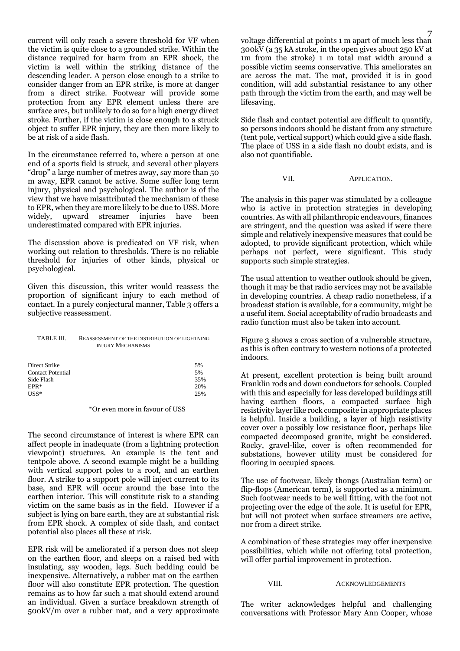current will only reach a severe threshold for VF when the victim is quite close to a grounded strike. Within the distance required for harm from an EPR shock, the victim is well within the striking distance of the descending leader. A person close enough to a strike to consider danger from an EPR strike, is more at danger from a direct strike. Footwear will provide some protection from any EPR element unless there are surface arcs, but unlikely to do so for a high energy direct stroke. Further, if the victim is close enough to a struck object to suffer EPR injury, they are then more likely to be at risk of a side flash.

In the circumstance referred to, where a person at one end of a sports field is struck, and several other players "drop" a large number of metres away, say more than 50 m away, EPR cannot be active. Some suffer long term injury, physical and psychological. The author is of the view that we have misattributed the mechanism of these to EPR, when they are more likely to be due to USS. More widely, upward streamer injuries have been underestimated compared with EPR injuries.

The discussion above is predicated on VF risk, when working out relation to thresholds. There is no reliable threshold for injuries of other kinds, physical or psychological.

Given this discussion, this writer would reassess the proportion of significant injury to each method of contact. In a purely conjectural manner, Table 3 offers a subjective reassessment.

| TABLE III.               | REASSESSMENT OF THE DISTRIBUTION OF LIGHTNING<br><b>INJURY MECHANISMS</b> |     |
|--------------------------|---------------------------------------------------------------------------|-----|
| Direct Strike            |                                                                           | 5%  |
| <b>Contact Potential</b> |                                                                           | 5%  |
| Side Flash               |                                                                           | 35% |
| EPR*                     |                                                                           | 20% |
| USS*                     |                                                                           | 25% |

#### \*Or even more in favour of USS

The second circumstance of interest is where EPR can affect people in inadequate (from a lightning protection viewpoint) structures. An example is the tent and tentpole above. A second example might be a building with vertical support poles to a roof, and an earthen floor. A strike to a support pole will inject current to its base, and EPR will occur around the base into the earthen interior. This will constitute risk to a standing victim on the same basis as in the field. However if a subject is lying on bare earth, they are at substantial risk from EPR shock. A complex of side flash, and contact potential also places all these at risk.

EPR risk will be ameliorated if a person does not sleep on the earthen floor, and sleeps on a raised bed with insulating, say wooden, legs. Such bedding could be inexpensive. Alternatively, a rubber mat on the earthen floor will also constitute EPR protection. The question remains as to how far such a mat should extend around an individual. Given a surface breakdown strength of 500kV/m over a rubber mat, and a very approximate

voltage differential at points 1 m apart of much less than 300kV (a 35 kA stroke, in the open gives about 250 kV at 1m from the stroke) 1 m total mat width around a possible victim seems conservative. This ameliorates an arc across the mat. The mat, provided it is in good condition, will add substantial resistance to any other path through the victim from the earth, and may well be lifesaving.

Side flash and contact potential are difficult to quantify, so persons indoors should be distant from any structure (tent pole, vertical support) which could give a side flash. The place of USS in a side flash no doubt exists, and is also not quantifiable.

VII. APPLICATION.

The analysis in this paper was stimulated by a colleague who is active in protection strategies in developing countries. As with all philanthropic endeavours, finances are stringent, and the question was asked if were there simple and relatively inexpensive measures that could be adopted, to provide significant protection, which while perhaps not perfect, were significant. This study supports such simple strategies.

The usual attention to weather outlook should be given, though it may be that radio services may not be available in developing countries. A cheap radio nonetheless, if a broadcast station is available, for a community, might be a useful item. Social acceptability of radio broadcasts and radio function must also be taken into account.

Figure 3 shows a cross section of a vulnerable structure, as this is often contrary to western notions of a protected indoors.

At present, excellent protection is being built around Franklin rods and down conductors for schools. Coupled with this and especially for less developed buildings still having earthen floors, a compacted surface high resistivity layer like rock composite in appropriate places is helpful. Inside a building, a layer of high resistivity cover over a possibly low resistance floor, perhaps like compacted decomposed granite, might be considered. Rocky, gravel-like, cover is often recommended for substations, however utility must be considered for flooring in occupied spaces.

The use of footwear, likely thongs (Australian term) or flip-flops (American term), is supported as a minimum. Such footwear needs to be well fitting, with the foot not projecting over the edge of the sole. It is useful for EPR, but will not protect when surface streamers are active, nor from a direct strike.

A combination of these strategies may offer inexpensive possibilities, which while not offering total protection, will offer partial improvement in protection.

## VIII. ACKNOWLEDGEMENTS

The writer acknowledges helpful and challenging conversations with Professor Mary Ann Cooper, whose